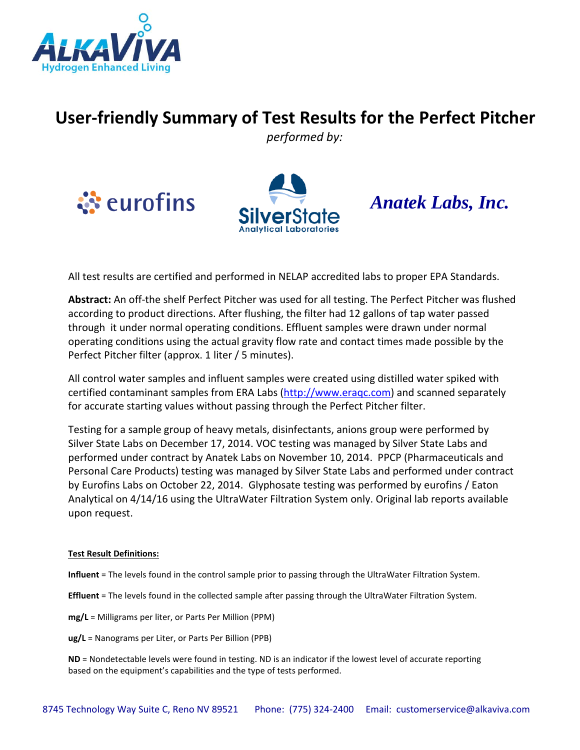

## **User-friendly Summary of Test Results for the Perfect Pitcher**

*performed by:*





## *Anatek Labs, Inc.*

All test results are certified and performed in NELAP accredited labs to proper EPA Standards.

**Abstract:** An off-the shelf Perfect Pitcher was used for all testing. The Perfect Pitcher was flushed according to product directions. After flushing, the filter had 12 gallons of tap water passed through it under normal operating conditions. Effluent samples were drawn under normal operating conditions using the actual gravity flow rate and contact times made possible by the Perfect Pitcher filter (approx. 1 liter / 5 minutes).

All control water samples and influent samples were created using distilled water spiked with certified contaminant samples from ERA Labs [\(http://www.eraqc.com\)](http://www.eraqc.com/) and scanned separately for accurate starting values without passing through the Perfect Pitcher filter.

Testing for a sample group of heavy metals, disinfectants, anions group were performed by Silver State Labs on December 17, 2014. VOC testing was managed by Silver State Labs and performed under contract by Anatek Labs on November 10, 2014. PPCP (Pharmaceuticals and Personal Care Products) testing was managed by Silver State Labs and performed under contract by Eurofins Labs on October 22, 2014. Glyphosate testing was performed by eurofins / Eaton Analytical on 4/14/16 using the UltraWater Filtration System only. Original lab reports available upon request.

## **Test Result Definitions:**

**Influent** = The levels found in the control sample prior to passing through the UltraWater Filtration System.

**Effluent** = The levels found in the collected sample after passing through the UltraWater Filtration System.

**mg/L** = Milligrams per liter, or Parts Per Million (PPM)

**ug/L** = Nanograms per Liter, or Parts Per Billion (PPB)

**ND** = Nondetectable levels were found in testing. ND is an indicator if the lowest level of accurate reporting based on the equipment's capabilities and the type of tests performed.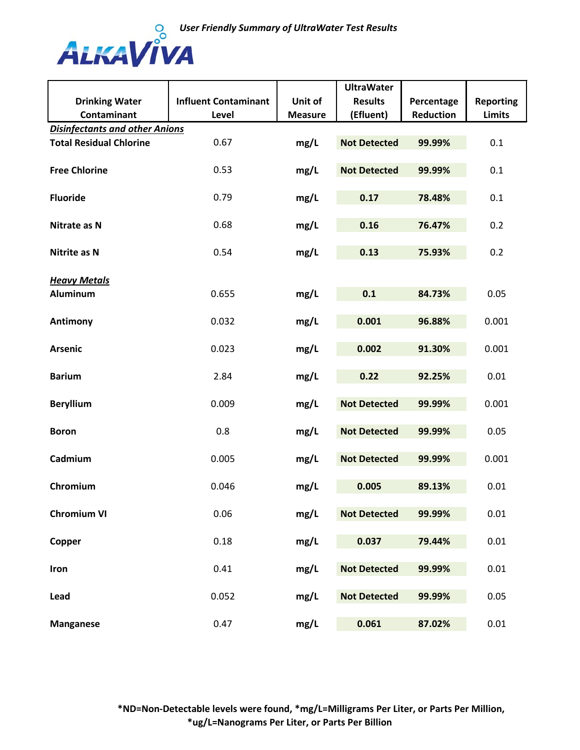

|                                       |                             |                | <b>UltraWater</b>   |                  |                  |
|---------------------------------------|-----------------------------|----------------|---------------------|------------------|------------------|
| <b>Drinking Water</b>                 | <b>Influent Contaminant</b> | Unit of        | <b>Results</b>      | Percentage       | <b>Reporting</b> |
| <b>Contaminant</b>                    | Level                       | <b>Measure</b> | (Efluent)           | <b>Reduction</b> | <b>Limits</b>    |
| <b>Disinfectants and other Anions</b> |                             |                |                     |                  |                  |
| <b>Total Residual Chlorine</b>        | 0.67                        | mg/L           | <b>Not Detected</b> | 99.99%           | 0.1              |
|                                       |                             |                |                     |                  |                  |
| <b>Free Chlorine</b>                  | 0.53                        | mg/L           | <b>Not Detected</b> | 99.99%           | 0.1              |
|                                       |                             |                |                     |                  |                  |
| <b>Fluoride</b>                       | 0.79                        | mg/L           | 0.17                | 78.48%           | 0.1              |
|                                       |                             |                |                     |                  |                  |
| Nitrate as N                          | 0.68                        | mg/L           | 0.16                | 76.47%           | 0.2              |
|                                       |                             |                |                     |                  |                  |
| Nitrite as N                          | 0.54                        | mg/L           | 0.13                | 75.93%           | 0.2              |
|                                       |                             |                |                     |                  |                  |
| <b>Heavy Metals</b>                   |                             |                |                     |                  |                  |
| <b>Aluminum</b>                       | 0.655                       | mg/L           | 0.1                 | 84.73%           | 0.05             |
|                                       |                             |                |                     |                  |                  |
|                                       | 0.032                       |                | 0.001               | 96.88%           | 0.001            |
| <b>Antimony</b>                       |                             | mg/L           |                     |                  |                  |
|                                       |                             |                | 0.002               |                  | 0.001            |
| <b>Arsenic</b>                        | 0.023                       | mg/L           |                     | 91.30%           |                  |
|                                       |                             |                |                     |                  |                  |
| <b>Barium</b>                         | 2.84                        | mg/L           | 0.22                | 92.25%           | 0.01             |
|                                       |                             |                |                     |                  |                  |
| <b>Beryllium</b>                      | 0.009                       | mg/L           | <b>Not Detected</b> | 99.99%           | 0.001            |
|                                       |                             |                |                     |                  |                  |
| <b>Boron</b>                          | 0.8                         | mg/L           | <b>Not Detected</b> | 99.99%           | 0.05             |
|                                       |                             |                |                     |                  |                  |
| Cadmium                               | 0.005                       | mg/L           | <b>Not Detected</b> | 99.99%           | 0.001            |
|                                       |                             |                |                     |                  |                  |
| Chromium                              | 0.046                       | mg/L           | 0.005               | 89.13%           | 0.01             |
|                                       |                             |                |                     |                  |                  |
| <b>Chromium VI</b>                    | 0.06                        | mg/L           | <b>Not Detected</b> | 99.99%           | 0.01             |
|                                       |                             |                |                     |                  |                  |
| Copper                                | 0.18                        | mg/L           | 0.037               | 79.44%           | 0.01             |
|                                       |                             |                |                     |                  |                  |
| Iron                                  | 0.41                        | mg/L           | <b>Not Detected</b> | 99.99%           | 0.01             |
|                                       |                             |                |                     |                  |                  |
| Lead                                  | 0.052                       | mg/L           | <b>Not Detected</b> | 99.99%           | 0.05             |
|                                       |                             |                |                     |                  |                  |
| <b>Manganese</b>                      | 0.47                        | mg/L           | 0.061               | 87.02%           | 0.01             |
|                                       |                             |                |                     |                  |                  |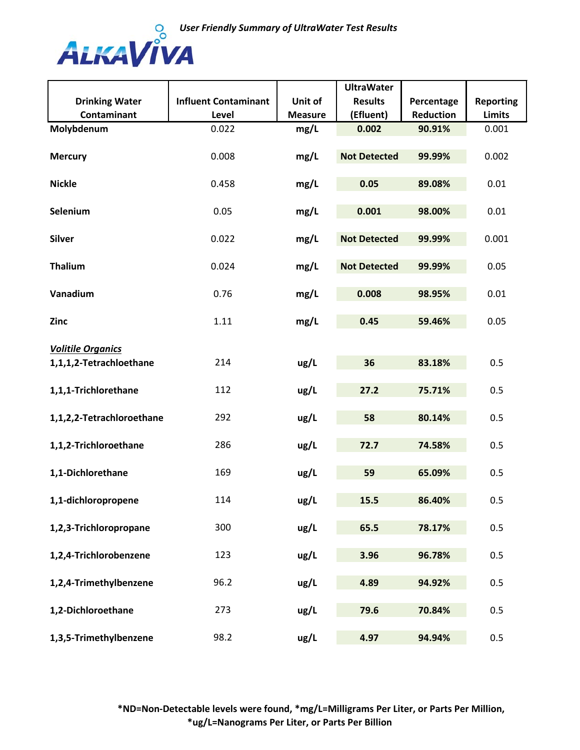

|                           |                             |                | <b>UltraWater</b>   |            |                  |
|---------------------------|-----------------------------|----------------|---------------------|------------|------------------|
| <b>Drinking Water</b>     | <b>Influent Contaminant</b> | Unit of        | <b>Results</b>      | Percentage | <b>Reporting</b> |
| Contaminant               | Level                       | <b>Measure</b> | (Efluent)           | Reduction  | <b>Limits</b>    |
| Molybdenum                | 0.022                       | mg/L           | 0.002               | 90.91%     | 0.001            |
|                           |                             |                |                     |            |                  |
| <b>Mercury</b>            | 0.008                       | mg/L           | <b>Not Detected</b> | 99.99%     | 0.002            |
|                           |                             |                |                     |            |                  |
| <b>Nickle</b>             | 0.458                       | mg/L           | 0.05                | 89.08%     | 0.01             |
|                           |                             |                |                     |            |                  |
| Selenium                  | 0.05                        | mg/L           | 0.001               | 98.00%     | 0.01             |
|                           |                             |                |                     |            |                  |
| <b>Silver</b>             | 0.022                       | mg/L           | <b>Not Detected</b> | 99.99%     | 0.001            |
|                           |                             |                |                     |            |                  |
| <b>Thalium</b>            | 0.024                       | mg/L           | <b>Not Detected</b> | 99.99%     | 0.05             |
|                           |                             |                |                     |            |                  |
| Vanadium                  | 0.76                        | mg/L           | 0.008               | 98.95%     | 0.01             |
|                           |                             |                |                     |            |                  |
| Zinc                      | 1.11                        | mg/L           | 0.45                | 59.46%     | 0.05             |
|                           |                             |                |                     |            |                  |
| <b>Volitile Organics</b>  |                             |                |                     |            |                  |
| 1,1,1,2-Tetrachloethane   | 214                         | ug/L           | 36                  | 83.18%     | 0.5              |
|                           |                             |                |                     |            |                  |
| 1,1,1-Trichlorethane      | 112                         | ug/L           | 27.2                | 75.71%     | 0.5              |
|                           |                             |                |                     |            |                  |
| 1,1,2,2-Tetrachloroethane | 292                         | ug/L           | 58                  | 80.14%     | 0.5              |
|                           |                             |                |                     |            |                  |
| 1,1,2-Trichloroethane     | 286                         | ug/L           | 72.7                | 74.58%     | 0.5              |
| 1,1-Dichlorethane         | 169                         | ug/L           | 59                  | 65.09%     | 0.5              |
|                           |                             |                |                     |            |                  |
| 1,1-dichloropropene       | 114                         | ug/L           | 15.5                | 86.40%     | 0.5              |
|                           |                             |                |                     |            |                  |
| 1,2,3-Trichloropropane    | 300                         | ug/L           | 65.5                | 78.17%     | 0.5              |
|                           |                             |                |                     |            |                  |
| 1,2,4-Trichlorobenzene    | 123                         | ug/L           | 3.96                | 96.78%     | 0.5              |
|                           |                             |                |                     |            |                  |
| 1,2,4-Trimethylbenzene    | 96.2                        | ug/L           | 4.89                | 94.92%     | 0.5              |
|                           |                             |                |                     |            |                  |
| 1,2-Dichloroethane        | 273                         | ug/L           | 79.6                | 70.84%     | 0.5              |
|                           |                             |                |                     |            |                  |
| 1,3,5-Trimethylbenzene    | 98.2                        | ug/L           | 4.97                | 94.94%     | 0.5              |
|                           |                             |                |                     |            |                  |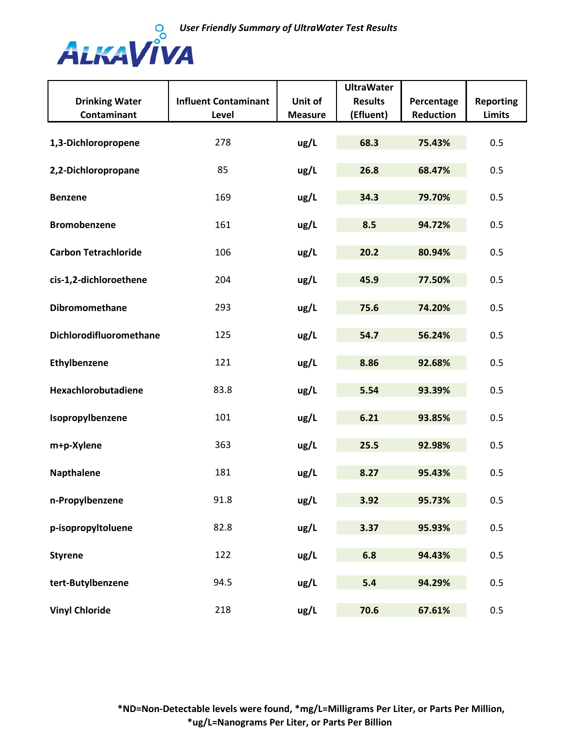

|                             |                             |                | <b>UltraWater</b> |            |                  |
|-----------------------------|-----------------------------|----------------|-------------------|------------|------------------|
| <b>Drinking Water</b>       | <b>Influent Contaminant</b> | Unit of        | <b>Results</b>    | Percentage | <b>Reporting</b> |
| Contaminant                 | Level                       | <b>Measure</b> | (Efluent)         | Reduction  | <b>Limits</b>    |
| 1,3-Dichloropropene         | 278                         | ug/L           | 68.3              | 75.43%     | 0.5              |
| 2,2-Dichloropropane         | 85                          | ug/L           | 26.8              | 68.47%     | 0.5              |
| <b>Benzene</b>              | 169                         | ug/L           | 34.3              | 79.70%     | 0.5              |
| <b>Bromobenzene</b>         | 161                         | ug/L           | 8.5               | 94.72%     | 0.5              |
| <b>Carbon Tetrachloride</b> | 106                         | ug/L           | 20.2              | 80.94%     | 0.5              |
| cis-1,2-dichloroethene      | 204                         | ug/L           | 45.9              | 77.50%     | 0.5              |
| Dibromomethane              | 293                         | ug/L           | 75.6              | 74.20%     | 0.5              |
| Dichlorodifluoromethane     | 125                         | ug/L           | 54.7              | 56.24%     | 0.5              |
| Ethylbenzene                | 121                         | ug/L           | 8.86              | 92.68%     | 0.5              |
| Hexachlorobutadiene         | 83.8                        | ug/L           | 5.54              | 93.39%     | 0.5              |
| Isopropylbenzene            | 101                         | ug/L           | 6.21              | 93.85%     | 0.5              |
| m+p-Xylene                  | 363                         | ug/L           | 25.5              | 92.98%     | 0.5              |
| <b>Napthalene</b>           | 181                         | ug/L           | 8.27              | 95.43%     | 0.5              |
| n-Propylbenzene             | 91.8                        | ug/L           | 3.92              | 95.73%     | 0.5              |
| p-isopropyltoluene          | 82.8                        | ug/L           | 3.37              | 95.93%     | 0.5              |
| <b>Styrene</b>              | 122                         | ug/L           | 6.8               | 94.43%     | 0.5              |
| tert-Butylbenzene           | 94.5                        | ug/L           | 5.4               | 94.29%     | 0.5              |
| <b>Vinyl Chloride</b>       | 218                         | ug/L           | 70.6              | 67.61%     | 0.5              |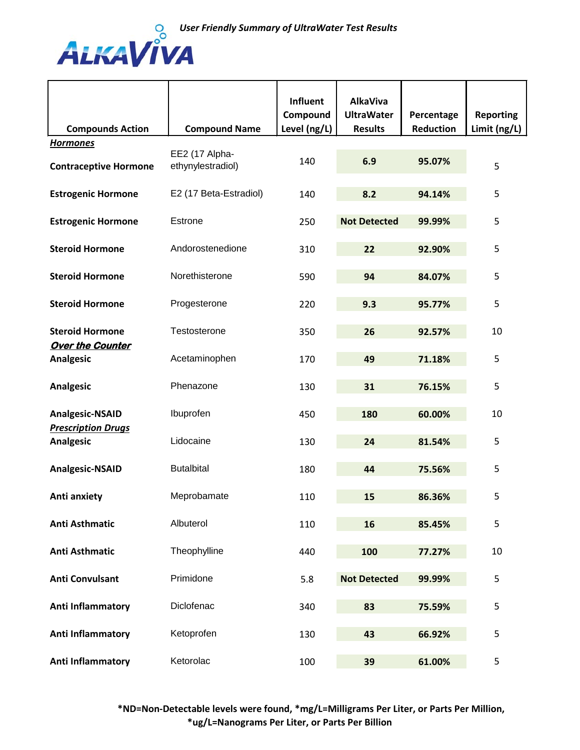

| <b>Compounds Action</b>                             | <b>Compound Name</b>                | Influent<br>Compound<br>Level (ng/L) | <b>AlkaViva</b><br><b>UltraWater</b><br><b>Results</b> | Percentage<br><b>Reduction</b> | <b>Reporting</b><br>Limit (ng/L) |
|-----------------------------------------------------|-------------------------------------|--------------------------------------|--------------------------------------------------------|--------------------------------|----------------------------------|
| <b>Hormones</b>                                     |                                     |                                      |                                                        |                                |                                  |
| <b>Contraceptive Hormone</b>                        | EE2 (17 Alpha-<br>ethynylestradiol) | 140                                  | 6.9                                                    | 95.07%                         | 5                                |
| <b>Estrogenic Hormone</b>                           | E2 (17 Beta-Estradiol)              | 140                                  | 8.2                                                    | 94.14%                         | 5                                |
| <b>Estrogenic Hormone</b>                           | Estrone                             | 250                                  | <b>Not Detected</b>                                    | 99.99%                         | 5                                |
| <b>Steroid Hormone</b>                              | Andorostenedione                    | 310                                  | 22                                                     | 92.90%                         | 5                                |
| <b>Steroid Hormone</b>                              | Norethisterone                      | 590                                  | 94                                                     | 84.07%                         | 5                                |
| <b>Steroid Hormone</b>                              | Progesterone                        | 220                                  | 9.3                                                    | 95.77%                         | 5                                |
| <b>Steroid Hormone</b><br><b>Over the Counter</b>   | Testosterone                        | 350                                  | 26                                                     | 92.57%                         | 10                               |
| <b>Analgesic</b>                                    | Acetaminophen                       | 170                                  | 49                                                     | 71.18%                         | 5                                |
| <b>Analgesic</b>                                    | Phenazone                           | 130                                  | 31                                                     | 76.15%                         | 5                                |
| <b>Analgesic-NSAID</b><br><b>Prescription Drugs</b> | Ibuprofen                           | 450                                  | 180                                                    | 60.00%                         | 10                               |
| <b>Analgesic</b>                                    | Lidocaine                           | 130                                  | 24                                                     | 81.54%                         | 5                                |
| <b>Analgesic-NSAID</b>                              | <b>Butalbital</b>                   | 180                                  | 44                                                     | 75.56%                         | 5                                |
| Anti anxiety                                        | Meprobamate                         | 110                                  | 15                                                     | 86.36%                         | 5                                |
| <b>Anti Asthmatic</b>                               | Albuterol                           | 110                                  | 16                                                     | 85.45%                         | 5                                |
| <b>Anti Asthmatic</b>                               | Theophylline                        | 440                                  | 100                                                    | 77.27%                         | 10                               |
| <b>Anti Convulsant</b>                              | Primidone                           | 5.8                                  | <b>Not Detected</b>                                    | 99.99%                         | 5                                |
| Anti Inflammatory                                   | Diclofenac                          | 340                                  | 83                                                     | 75.59%                         | 5                                |
| Anti Inflammatory                                   | Ketoprofen                          | 130                                  | 43                                                     | 66.92%                         | 5                                |
| Anti Inflammatory                                   | Ketorolac                           | 100                                  | 39                                                     | 61.00%                         | 5                                |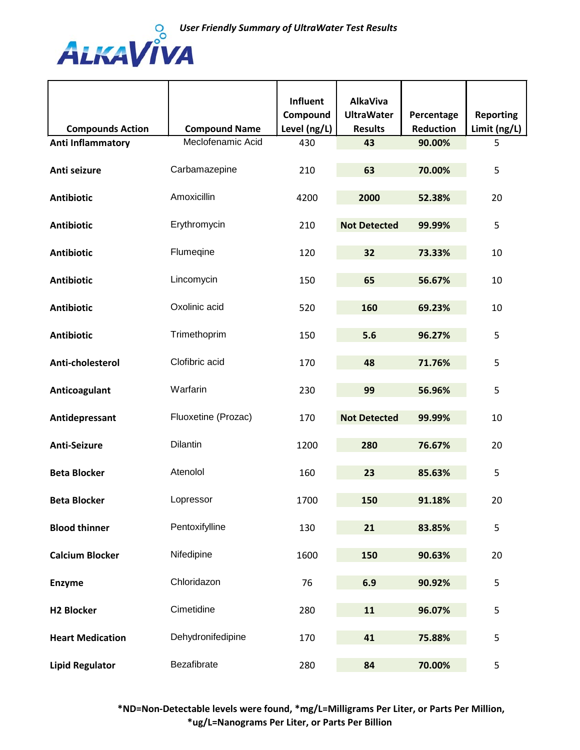

| <b>Compounds Action</b> | <b>Compound Name</b> | Influent<br>Compound<br>Level (ng/L) | <b>AlkaViva</b><br><b>UltraWater</b><br><b>Results</b> | Percentage<br><b>Reduction</b> | <b>Reporting</b><br>Limit (ng/L) |
|-------------------------|----------------------|--------------------------------------|--------------------------------------------------------|--------------------------------|----------------------------------|
| Anti Inflammatory       | Meclofenamic Acid    | 430                                  | 43                                                     | 90.00%                         | 5                                |
| Anti seizure            | Carbamazepine        | 210                                  | 63                                                     | 70.00%                         | 5                                |
| <b>Antibiotic</b>       | Amoxicillin          | 4200                                 | 2000                                                   | 52.38%                         | 20                               |
| <b>Antibiotic</b>       | Erythromycin         | 210                                  | <b>Not Detected</b>                                    | 99.99%                         | 5                                |
| <b>Antibiotic</b>       | Flumeqine            | 120                                  | 32                                                     | 73.33%                         | 10                               |
| <b>Antibiotic</b>       | Lincomycin           | 150                                  | 65                                                     | 56.67%                         | 10                               |
| <b>Antibiotic</b>       | Oxolinic acid        | 520                                  | 160                                                    | 69.23%                         | 10                               |
| <b>Antibiotic</b>       | Trimethoprim         | 150                                  | 5.6                                                    | 96.27%                         | 5                                |
| Anti-cholesterol        | Clofibric acid       | 170                                  | 48                                                     | 71.76%                         | 5                                |
| Anticoagulant           | Warfarin             | 230                                  | 99                                                     | 56.96%                         | 5                                |
| Antidepressant          | Fluoxetine (Prozac)  | 170                                  | <b>Not Detected</b>                                    | 99.99%                         | 10                               |
| <b>Anti-Seizure</b>     | Dilantin             | 1200                                 | 280                                                    | 76.67%                         | 20                               |
| <b>Beta Blocker</b>     | Atenolol             | 160                                  | 23                                                     | 85.63%                         | 5                                |
| <b>Beta Blocker</b>     | Lopressor            | 1700                                 | 150                                                    | 91.18%                         | 20                               |
| <b>Blood thinner</b>    | Pentoxifylline       | 130                                  | 21                                                     | 83.85%                         | 5                                |
| <b>Calcium Blocker</b>  | Nifedipine           | 1600                                 | 150                                                    | 90.63%                         | 20                               |
| <b>Enzyme</b>           | Chloridazon          | 76                                   | 6.9                                                    | 90.92%                         | 5                                |
| <b>H2 Blocker</b>       | Cimetidine           | 280                                  | 11                                                     | 96.07%                         | 5                                |
| <b>Heart Medication</b> | Dehydronifedipine    | 170                                  | 41                                                     | 75.88%                         | 5                                |
| <b>Lipid Regulator</b>  | Bezafibrate          | 280                                  | 84                                                     | 70.00%                         | 5                                |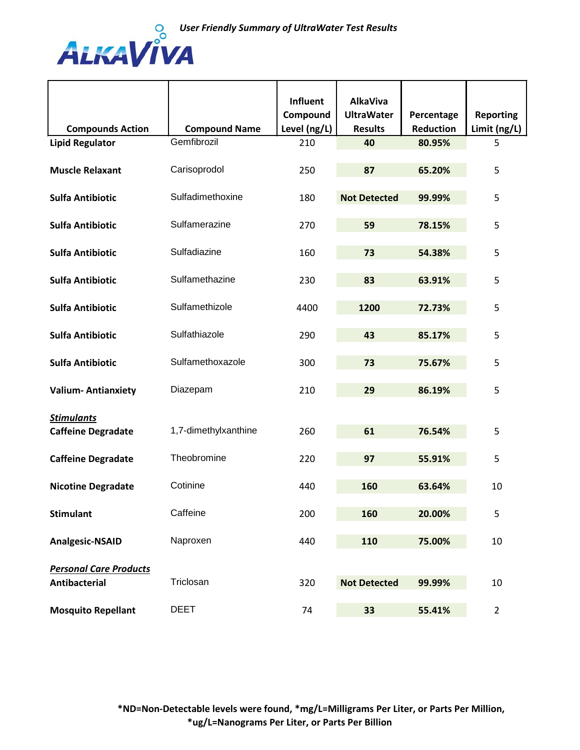

|                               |                      | <b>Influent</b> | <b>AlkaViva</b>     |                  |                  |
|-------------------------------|----------------------|-----------------|---------------------|------------------|------------------|
|                               |                      | Compound        | <b>UltraWater</b>   | Percentage       | <b>Reporting</b> |
| <b>Compounds Action</b>       | <b>Compound Name</b> | Level (ng/L)    | <b>Results</b>      | <b>Reduction</b> | Limit (ng/L)     |
| <b>Lipid Regulator</b>        | Gemfibrozil          | 210             | 40                  | 80.95%           | 5                |
| <b>Muscle Relaxant</b>        | Carisoprodol         | 250             | 87                  | 65.20%           | 5                |
| <b>Sulfa Antibiotic</b>       | Sulfadimethoxine     | 180             | <b>Not Detected</b> | 99.99%           | 5                |
| <b>Sulfa Antibiotic</b>       | Sulfamerazine        | 270             | 59                  | 78.15%           | 5                |
| <b>Sulfa Antibiotic</b>       | Sulfadiazine         | 160             | 73                  | 54.38%           | 5                |
| <b>Sulfa Antibiotic</b>       | Sulfamethazine       | 230             | 83                  | 63.91%           | 5                |
| <b>Sulfa Antibiotic</b>       | Sulfamethizole       | 4400            | 1200                | 72.73%           | 5                |
| <b>Sulfa Antibiotic</b>       | Sulfathiazole        | 290             | 43                  | 85.17%           | 5                |
| <b>Sulfa Antibiotic</b>       | Sulfamethoxazole     | 300             | 73                  | 75.67%           | 5                |
| <b>Valium-Antianxiety</b>     | Diazepam             | 210             | 29                  | 86.19%           | 5                |
| <b>Stimulants</b>             |                      |                 |                     |                  |                  |
| <b>Caffeine Degradate</b>     | 1,7-dimethylxanthine | 260             | 61                  | 76.54%           | 5                |
| <b>Caffeine Degradate</b>     | Theobromine          | 220             | 97                  | 55.91%           | 5                |
| <b>Nicotine Degradate</b>     | Cotinine             | 440             | 160                 | 63.64%           | 10               |
| <b>Stimulant</b>              | Caffeine             | 200             | 160                 | 20.00%           | 5                |
| <b>Analgesic-NSAID</b>        | Naproxen             | 440             | 110                 | 75.00%           | 10               |
| <b>Personal Care Products</b> | Triclosan            |                 |                     |                  |                  |
| <b>Antibacterial</b>          |                      | 320             | <b>Not Detected</b> | 99.99%           | 10               |
| <b>Mosquito Repellant</b>     | <b>DEET</b>          | 74              | 33                  | 55.41%           | $\overline{2}$   |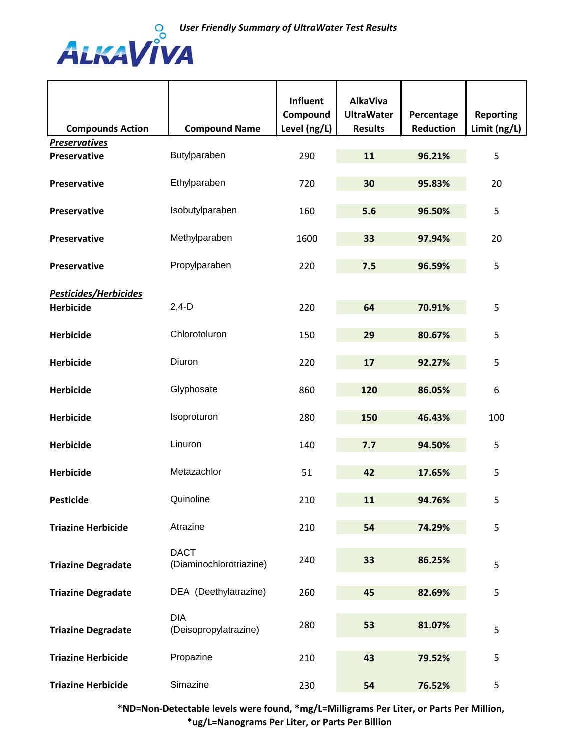

| <b>Compounds Action</b>   | <b>Compound Name</b>                   | Influent<br>Compound<br>Level (ng/L) | <b>AlkaViva</b><br><b>UltraWater</b><br><b>Results</b> | Percentage<br><b>Reduction</b> | <b>Reporting</b><br>Limit (ng/L) |
|---------------------------|----------------------------------------|--------------------------------------|--------------------------------------------------------|--------------------------------|----------------------------------|
| <b>Preservatives</b>      |                                        |                                      |                                                        |                                |                                  |
| <b>Preservative</b>       | Butylparaben                           | 290                                  | 11                                                     | 96.21%                         | 5                                |
| <b>Preservative</b>       | Ethylparaben                           | 720                                  | 30                                                     | 95.83%                         | 20                               |
| <b>Preservative</b>       | Isobutylparaben                        | 160                                  | 5.6                                                    | 96.50%                         | 5                                |
| <b>Preservative</b>       | Methylparaben                          | 1600                                 | 33                                                     | 97.94%                         | 20                               |
| <b>Preservative</b>       | Propylparaben                          | 220                                  | 7.5                                                    | 96.59%                         | 5                                |
| Pesticides/Herbicides     |                                        |                                      |                                                        |                                |                                  |
| <b>Herbicide</b>          | $2,4-D$                                | 220                                  | 64                                                     | 70.91%                         | 5                                |
| <b>Herbicide</b>          | Chlorotoluron                          | 150                                  | 29                                                     | 80.67%                         | 5                                |
| <b>Herbicide</b>          | Diuron                                 | 220                                  | 17                                                     | 92.27%                         | 5                                |
| <b>Herbicide</b>          | Glyphosate                             | 860                                  | 120                                                    | 86.05%                         | 6                                |
| <b>Herbicide</b>          | Isoproturon                            | 280                                  | 150                                                    | 46.43%                         | 100                              |
| <b>Herbicide</b>          | Linuron                                | 140                                  | 7.7                                                    | 94.50%                         | 5                                |
| <b>Herbicide</b>          | Metazachlor                            | 51                                   | 42                                                     | 17.65%                         | 5                                |
| <b>Pesticide</b>          | Quinoline                              | 210                                  | 11                                                     | 94.76%                         | 5                                |
| <b>Triazine Herbicide</b> | Atrazine                               | 210                                  | 54                                                     | 74.29%                         | 5                                |
| <b>Triazine Degradate</b> | <b>DACT</b><br>(Diaminochlorotriazine) | 240                                  | 33                                                     | 86.25%                         | 5                                |
| <b>Triazine Degradate</b> | DEA (Deethylatrazine)                  | 260                                  | 45                                                     | 82.69%                         | 5                                |
| <b>Triazine Degradate</b> | <b>DIA</b><br>(Deisopropylatrazine)    | 280                                  | 53                                                     | 81.07%                         | 5                                |
| <b>Triazine Herbicide</b> | Propazine                              | 210                                  | 43                                                     | 79.52%                         | 5                                |
| <b>Triazine Herbicide</b> | Simazine                               | 230                                  | 54                                                     | 76.52%                         | 5                                |